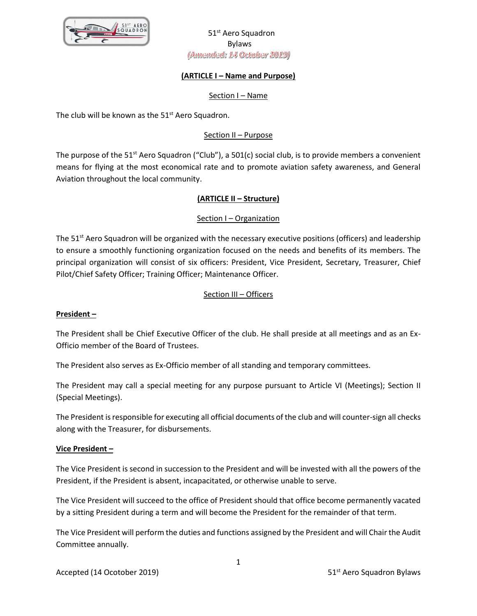

### **(ARTICLE I – Name and Purpose)**

#### Section I – Name

The club will be known as the 51<sup>st</sup> Aero Squadron.

#### Section II – Purpose

The purpose of the 51<sup>st</sup> Aero Squadron ("Club"), a 501(c) social club, is to provide members a convenient means for flying at the most economical rate and to promote aviation safety awareness, and General Aviation throughout the local community.

### **(ARTICLE II – Structure)**

#### Section I – Organization

The 51<sup>st</sup> Aero Squadron will be organized with the necessary executive positions (officers) and leadership to ensure a smoothly functioning organization focused on the needs and benefits of its members. The principal organization will consist of six officers: President, Vice President, Secretary, Treasurer, Chief Pilot/Chief Safety Officer; Training Officer; Maintenance Officer.

#### Section III - Officers

#### **President –**

The President shall be Chief Executive Officer of the club. He shall preside at all meetings and as an Ex-Officio member of the Board of Trustees.

The President also serves as Ex-Officio member of all standing and temporary committees.

The President may call a special meeting for any purpose pursuant to Article VI (Meetings); Section II (Special Meetings).

The President is responsible for executing all official documents of the club and will counter-sign all checks along with the Treasurer, for disbursements.

#### **Vice President –**

The Vice President is second in succession to the President and will be invested with all the powers of the President, if the President is absent, incapacitated, or otherwise unable to serve.

The Vice President will succeed to the office of President should that office become permanently vacated by a sitting President during a term and will become the President for the remainder of that term.

The Vice President will perform the duties and functions assigned by the President and will Chair the Audit Committee annually.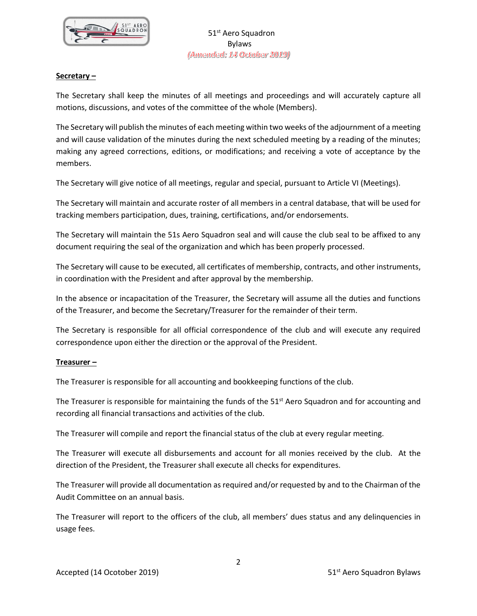

#### **Secretary –**

The Secretary shall keep the minutes of all meetings and proceedings and will accurately capture all motions, discussions, and votes of the committee of the whole (Members).

The Secretary will publish the minutes of each meeting within two weeks of the adjournment of a meeting and will cause validation of the minutes during the next scheduled meeting by a reading of the minutes; making any agreed corrections, editions, or modifications; and receiving a vote of acceptance by the members.

The Secretary will give notice of all meetings, regular and special, pursuant to Article VI (Meetings).

The Secretary will maintain and accurate roster of all members in a central database, that will be used for tracking members participation, dues, training, certifications, and/or endorsements.

The Secretary will maintain the 51s Aero Squadron seal and will cause the club seal to be affixed to any document requiring the seal of the organization and which has been properly processed.

The Secretary will cause to be executed, all certificates of membership, contracts, and other instruments, in coordination with the President and after approval by the membership.

In the absence or incapacitation of the Treasurer, the Secretary will assume all the duties and functions of the Treasurer, and become the Secretary/Treasurer for the remainder of their term.

The Secretary is responsible for all official correspondence of the club and will execute any required correspondence upon either the direction or the approval of the President.

### **Treasurer –**

The Treasurer is responsible for all accounting and bookkeeping functions of the club.

The Treasurer is responsible for maintaining the funds of the  $51<sup>st</sup>$  Aero Squadron and for accounting and recording all financial transactions and activities of the club.

The Treasurer will compile and report the financial status of the club at every regular meeting.

The Treasurer will execute all disbursements and account for all monies received by the club. At the direction of the President, the Treasurer shall execute all checks for expenditures.

The Treasurer will provide all documentation as required and/or requested by and to the Chairman of the Audit Committee on an annual basis.

The Treasurer will report to the officers of the club, all members' dues status and any delinquencies in usage fees.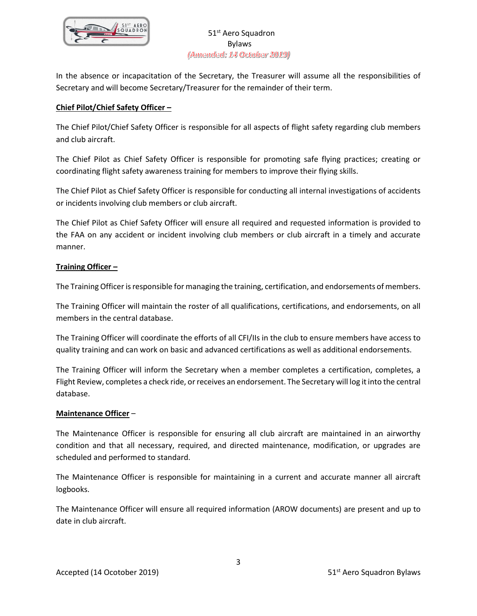

In the absence or incapacitation of the Secretary, the Treasurer will assume all the responsibilities of Secretary and will become Secretary/Treasurer for the remainder of their term.

#### **Chief Pilot/Chief Safety Officer –**

The Chief Pilot/Chief Safety Officer is responsible for all aspects of flight safety regarding club members and club aircraft.

The Chief Pilot as Chief Safety Officer is responsible for promoting safe flying practices; creating or coordinating flight safety awareness training for members to improve their flying skills.

The Chief Pilot as Chief Safety Officer is responsible for conducting all internal investigations of accidents or incidents involving club members or club aircraft.

The Chief Pilot as Chief Safety Officer will ensure all required and requested information is provided to the FAA on any accident or incident involving club members or club aircraft in a timely and accurate manner.

#### **Training Officer –**

The Training Officer is responsible for managing the training, certification, and endorsements of members.

The Training Officer will maintain the roster of all qualifications, certifications, and endorsements, on all members in the central database.

The Training Officer will coordinate the efforts of all CFI/IIs in the club to ensure members have access to quality training and can work on basic and advanced certifications as well as additional endorsements.

The Training Officer will inform the Secretary when a member completes a certification, completes, a Flight Review, completes a check ride, or receives an endorsement. The Secretary will log it into the central database.

#### **Maintenance Officer** –

The Maintenance Officer is responsible for ensuring all club aircraft are maintained in an airworthy condition and that all necessary, required, and directed maintenance, modification, or upgrades are scheduled and performed to standard.

The Maintenance Officer is responsible for maintaining in a current and accurate manner all aircraft logbooks.

The Maintenance Officer will ensure all required information (AROW documents) are present and up to date in club aircraft.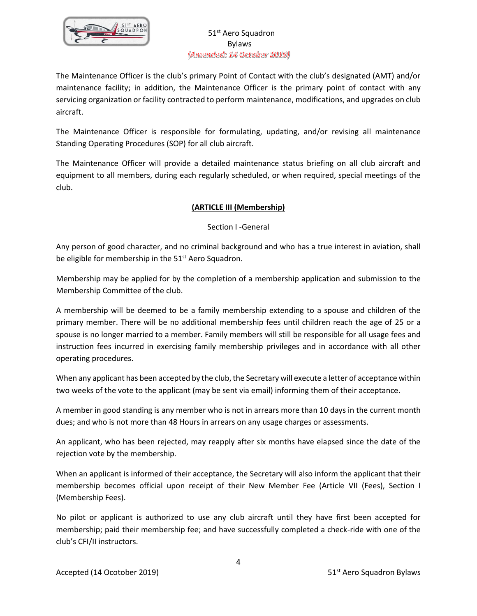

The Maintenance Officer is the club's primary Point of Contact with the club's designated (AMT) and/or maintenance facility; in addition, the Maintenance Officer is the primary point of contact with any servicing organization or facility contracted to perform maintenance, modifications, and upgrades on club aircraft.

The Maintenance Officer is responsible for formulating, updating, and/or revising all maintenance Standing Operating Procedures (SOP) for all club aircraft.

The Maintenance Officer will provide a detailed maintenance status briefing on all club aircraft and equipment to all members, during each regularly scheduled, or when required, special meetings of the club.

# **(ARTICLE III (Membership)**

## Section I -General

Any person of good character, and no criminal background and who has a true interest in aviation, shall be eligible for membership in the  $51<sup>st</sup>$  Aero Squadron.

Membership may be applied for by the completion of a membership application and submission to the Membership Committee of the club.

A membership will be deemed to be a family membership extending to a spouse and children of the primary member. There will be no additional membership fees until children reach the age of 25 or a spouse is no longer married to a member. Family members will still be responsible for all usage fees and instruction fees incurred in exercising family membership privileges and in accordance with all other operating procedures.

When any applicant has been accepted by the club, the Secretary will execute a letter of acceptance within two weeks of the vote to the applicant (may be sent via email) informing them of their acceptance.

A member in good standing is any member who is not in arrears more than 10 days in the current month dues; and who is not more than 48 Hours in arrears on any usage charges or assessments.

An applicant, who has been rejected, may reapply after six months have elapsed since the date of the rejection vote by the membership.

When an applicant is informed of their acceptance, the Secretary will also inform the applicant that their membership becomes official upon receipt of their New Member Fee (Article VII (Fees), Section I (Membership Fees).

No pilot or applicant is authorized to use any club aircraft until they have first been accepted for membership; paid their membership fee; and have successfully completed a check-ride with one of the club's CFI/II instructors.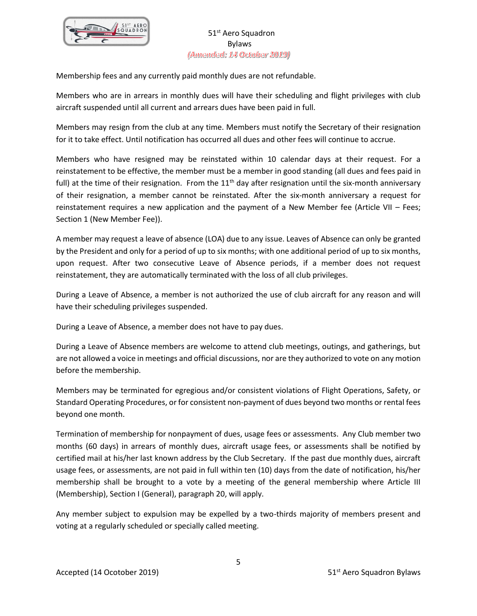

Membership fees and any currently paid monthly dues are not refundable.

Members who are in arrears in monthly dues will have their scheduling and flight privileges with club aircraft suspended until all current and arrears dues have been paid in full.

Members may resign from the club at any time. Members must notify the Secretary of their resignation for it to take effect. Until notification has occurred all dues and other fees will continue to accrue.

Members who have resigned may be reinstated within 10 calendar days at their request. For a reinstatement to be effective, the member must be a member in good standing (all dues and fees paid in full) at the time of their resignation. From the  $11<sup>th</sup>$  day after resignation until the six-month anniversary of their resignation, a member cannot be reinstated. After the six-month anniversary a request for reinstatement requires a new application and the payment of a New Member fee (Article VII – Fees; Section 1 (New Member Fee)).

A member may request a leave of absence (LOA) due to any issue. Leaves of Absence can only be granted by the President and only for a period of up to six months; with one additional period of up to six months, upon request. After two consecutive Leave of Absence periods, if a member does not request reinstatement, they are automatically terminated with the loss of all club privileges.

During a Leave of Absence, a member is not authorized the use of club aircraft for any reason and will have their scheduling privileges suspended.

During a Leave of Absence, a member does not have to pay dues.

During a Leave of Absence members are welcome to attend club meetings, outings, and gatherings, but are not allowed a voice in meetings and official discussions, nor are they authorized to vote on any motion before the membership.

Members may be terminated for egregious and/or consistent violations of Flight Operations, Safety, or Standard Operating Procedures, or for consistent non-payment of dues beyond two months or rental fees beyond one month.

Termination of membership for nonpayment of dues, usage fees or assessments. Any Club member two months (60 days) in arrears of monthly dues, aircraft usage fees, or assessments shall be notified by certified mail at his/her last known address by the Club Secretary. If the past due monthly dues, aircraft usage fees, or assessments, are not paid in full within ten (10) days from the date of notification, his/her membership shall be brought to a vote by a meeting of the general membership where Article III (Membership), Section I (General), paragraph 20, will apply.

Any member subject to expulsion may be expelled by a two-thirds majority of members present and voting at a regularly scheduled or specially called meeting.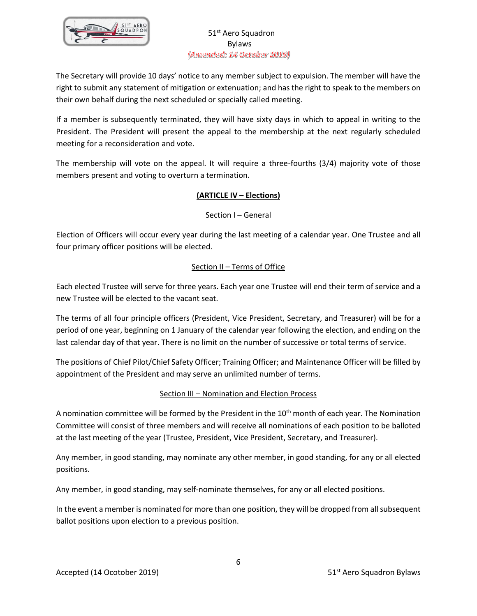

The Secretary will provide 10 days' notice to any member subject to expulsion. The member will have the right to submit any statement of mitigation or extenuation; and has the right to speak to the members on their own behalf during the next scheduled or specially called meeting.

If a member is subsequently terminated, they will have sixty days in which to appeal in writing to the President. The President will present the appeal to the membership at the next regularly scheduled meeting for a reconsideration and vote.

The membership will vote on the appeal. It will require a three-fourths (3/4) majority vote of those members present and voting to overturn a termination.

# **(ARTICLE IV – Elections)**

## Section I – General

Election of Officers will occur every year during the last meeting of a calendar year. One Trustee and all four primary officer positions will be elected.

## Section II – Terms of Office

Each elected Trustee will serve for three years. Each year one Trustee will end their term of service and a new Trustee will be elected to the vacant seat.

The terms of all four principle officers (President, Vice President, Secretary, and Treasurer) will be for a period of one year, beginning on 1 January of the calendar year following the election, and ending on the last calendar day of that year. There is no limit on the number of successive or total terms of service.

The positions of Chief Pilot/Chief Safety Officer; Training Officer; and Maintenance Officer will be filled by appointment of the President and may serve an unlimited number of terms.

# Section III – Nomination and Election Process

A nomination committee will be formed by the President in the 10<sup>th</sup> month of each year. The Nomination Committee will consist of three members and will receive all nominations of each position to be balloted at the last meeting of the year (Trustee, President, Vice President, Secretary, and Treasurer).

Any member, in good standing, may nominate any other member, in good standing, for any or all elected positions.

Any member, in good standing, may self-nominate themselves, for any or all elected positions.

In the event a member is nominated for more than one position, they will be dropped from all subsequent ballot positions upon election to a previous position.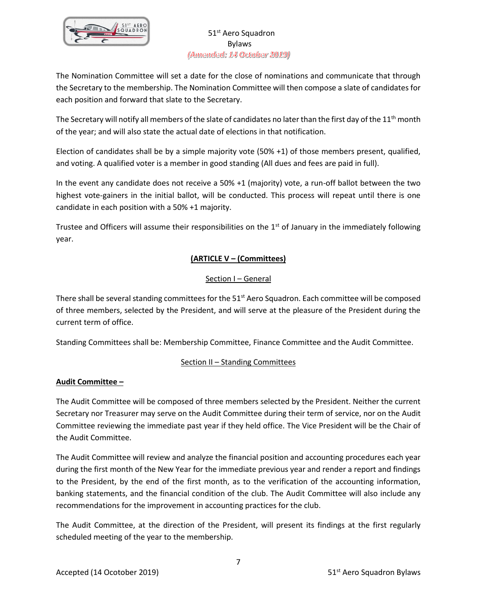

The Nomination Committee will set a date for the close of nominations and communicate that through the Secretary to the membership. The Nomination Committee will then compose a slate of candidates for each position and forward that slate to the Secretary.

The Secretary will notify all members of the slate of candidates no later than the first day of the 11<sup>th</sup> month of the year; and will also state the actual date of elections in that notification.

Election of candidates shall be by a simple majority vote (50% +1) of those members present, qualified, and voting. A qualified voter is a member in good standing (All dues and fees are paid in full).

In the event any candidate does not receive a 50% +1 (majority) vote, a run-off ballot between the two highest vote-gainers in the initial ballot, will be conducted. This process will repeat until there is one candidate in each position with a 50% +1 majority.

Trustee and Officers will assume their responsibilities on the 1<sup>st</sup> of January in the immediately following year.

# **(ARTICLE V – (Committees)**

# Section I – General

There shall be several standing committees for the  $51<sup>st</sup>$  Aero Squadron. Each committee will be composed of three members, selected by the President, and will serve at the pleasure of the President during the current term of office.

Standing Committees shall be: Membership Committee, Finance Committee and the Audit Committee.

# Section II – Standing Committees

# **Audit Committee –**

The Audit Committee will be composed of three members selected by the President. Neither the current Secretary nor Treasurer may serve on the Audit Committee during their term of service, nor on the Audit Committee reviewing the immediate past year if they held office. The Vice President will be the Chair of the Audit Committee.

The Audit Committee will review and analyze the financial position and accounting procedures each year during the first month of the New Year for the immediate previous year and render a report and findings to the President, by the end of the first month, as to the verification of the accounting information, banking statements, and the financial condition of the club. The Audit Committee will also include any recommendations for the improvement in accounting practices for the club.

The Audit Committee, at the direction of the President, will present its findings at the first regularly scheduled meeting of the year to the membership.

7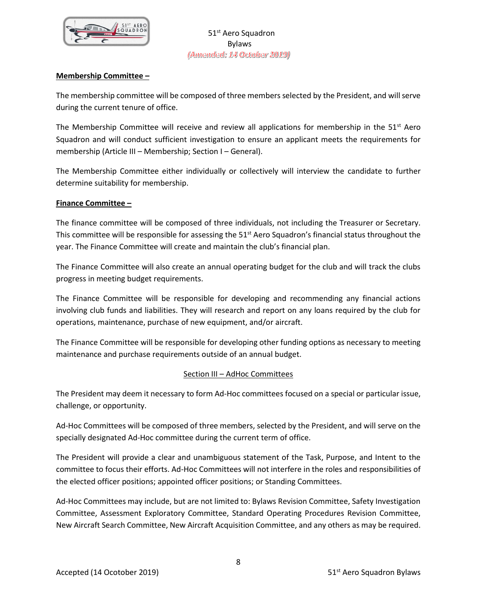

## **Membership Committee –**

The membership committee will be composed of three members selected by the President, and will serve during the current tenure of office.

The Membership Committee will receive and review all applications for membership in the  $51<sup>st</sup>$  Aero Squadron and will conduct sufficient investigation to ensure an applicant meets the requirements for membership (Article III – Membership; Section I – General).

The Membership Committee either individually or collectively will interview the candidate to further determine suitability for membership.

### **Finance Committee –**

The finance committee will be composed of three individuals, not including the Treasurer or Secretary. This committee will be responsible for assessing the  $51<sup>st</sup>$  Aero Squadron's financial status throughout the year. The Finance Committee will create and maintain the club's financial plan.

The Finance Committee will also create an annual operating budget for the club and will track the clubs progress in meeting budget requirements.

The Finance Committee will be responsible for developing and recommending any financial actions involving club funds and liabilities. They will research and report on any loans required by the club for operations, maintenance, purchase of new equipment, and/or aircraft.

The Finance Committee will be responsible for developing other funding options as necessary to meeting maintenance and purchase requirements outside of an annual budget.

### Section III – AdHoc Committees

The President may deem it necessary to form Ad-Hoc committees focused on a special or particular issue, challenge, or opportunity.

Ad-Hoc Committees will be composed of three members, selected by the President, and will serve on the specially designated Ad-Hoc committee during the current term of office.

The President will provide a clear and unambiguous statement of the Task, Purpose, and Intent to the committee to focus their efforts. Ad-Hoc Committees will not interfere in the roles and responsibilities of the elected officer positions; appointed officer positions; or Standing Committees.

Ad-Hoc Committees may include, but are not limited to: Bylaws Revision Committee, Safety Investigation Committee, Assessment Exploratory Committee, Standard Operating Procedures Revision Committee, New Aircraft Search Committee, New Aircraft Acquisition Committee, and any others as may be required.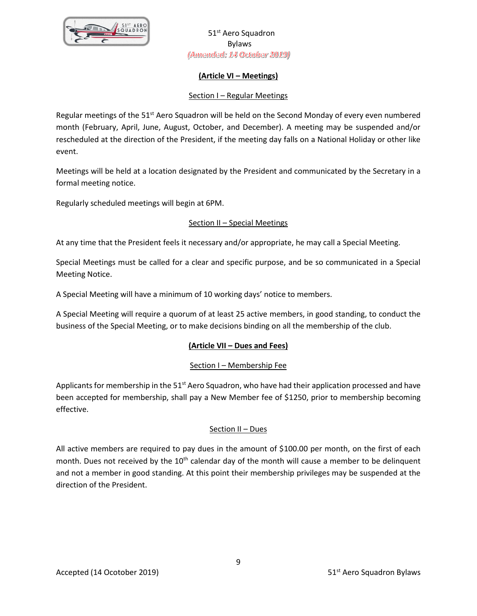

## **(Article VI – Meetings)**

## Section I – Regular Meetings

Regular meetings of the 51<sup>st</sup> Aero Squadron will be held on the Second Monday of every even numbered month (February, April, June, August, October, and December). A meeting may be suspended and/or rescheduled at the direction of the President, if the meeting day falls on a National Holiday or other like event.

Meetings will be held at a location designated by the President and communicated by the Secretary in a formal meeting notice.

Regularly scheduled meetings will begin at 6PM.

## Section II – Special Meetings

At any time that the President feels it necessary and/or appropriate, he may call a Special Meeting.

Special Meetings must be called for a clear and specific purpose, and be so communicated in a Special Meeting Notice.

A Special Meeting will have a minimum of 10 working days' notice to members.

A Special Meeting will require a quorum of at least 25 active members, in good standing, to conduct the business of the Special Meeting, or to make decisions binding on all the membership of the club.

### **(Article VII – Dues and Fees)**

### Section I – Membership Fee

Applicants for membership in the 51<sup>st</sup> Aero Squadron, who have had their application processed and have been accepted for membership, shall pay a New Member fee of \$1250, prior to membership becoming effective.

### Section II – Dues

All active members are required to pay dues in the amount of \$100.00 per month, on the first of each month. Dues not received by the 10<sup>th</sup> calendar day of the month will cause a member to be delinquent and not a member in good standing. At this point their membership privileges may be suspended at the direction of the President.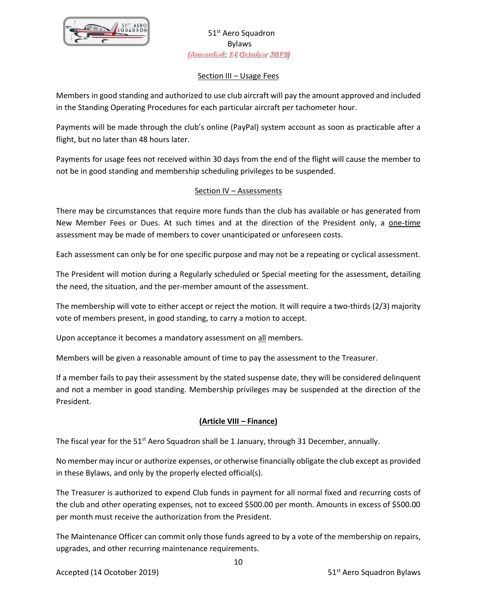

## Section III - Usage Fees

Members in good standing and authorized to use club aircraft will pay the amount approved and included in the Standing Operating Procedures for each particular aircraft per tachometer hour.

Payments will be made through the club's online (PayPal) system account as soon as practicable after a flight, but no later than 48 hours later.

Payments for usage fees not received within 30 days from the end of the flight will cause the member to not be in good standing and membership scheduling privileges to be suspended.

# Section IV – Assessments

There may be circumstances that require more funds than the club has available or has generated from New Member Fees or Dues. At such times and at the direction of the President only, a one-time assessment may be made of members to cover unanticipated or unforeseen costs.

Each assessment can only be for one specific purpose and may not be a repeating or cyclical assessment.

The President will motion during a Regularly scheduled or Special meeting for the assessment, detailing the need, the situation, and the per-member amount of the assessment.

The membership will vote to either accept or reject the motion. It will require a two-thirds (2/3) majority vote of members present, in good standing, to carry a motion to accept.

Upon acceptance it becomes a mandatory assessment on all members.

Members will be given a reasonable amount of time to pay the assessment to the Treasurer.

If a member fails to pay their assessment by the stated suspense date, they will be considered delinquent and not a member in good standing. Membership privileges may be suspended at the direction of the President.

# **(Article VIII – Finance)**

The fiscal year for the  $51<sup>st</sup>$  Aero Squadron shall be 1 January, through 31 December, annually.

No member may incur or authorize expenses, or otherwise financially obligate the club except as provided in these Bylaws, and only by the properly elected official(s).

The Treasurer is authorized to expend Club funds in payment for all normal fixed and recurring costs of the club and other operating expenses, not to exceed \$500.00 per month. Amounts in excess of \$500.00 per month must receive the authorization from the President.

The Maintenance Officer can commit only those funds agreed to by a vote of the membership on repairs, upgrades, and other recurring maintenance requirements.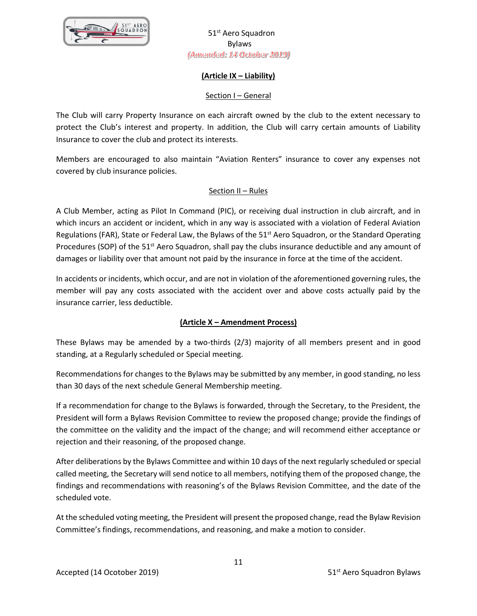

## **(Article IX – Liability)**

## Section I – General

The Club will carry Property Insurance on each aircraft owned by the club to the extent necessary to protect the Club's interest and property. In addition, the Club will carry certain amounts of Liability Insurance to cover the club and protect its interests.

Members are encouraged to also maintain "Aviation Renters" insurance to cover any expenses not covered by club insurance policies.

## Section II – Rules

A Club Member, acting as Pilot In Command (PIC), or receiving dual instruction in club aircraft, and in which incurs an accident or incident, which in any way is associated with a violation of Federal Aviation Regulations (FAR), State or Federal Law, the Bylaws of the 51<sup>st</sup> Aero Squadron, or the Standard Operating Procedures (SOP) of the 51<sup>st</sup> Aero Squadron, shall pay the clubs insurance deductible and any amount of damages or liability over that amount not paid by the insurance in force at the time of the accident.

In accidents or incidents, which occur, and are not in violation of the aforementioned governing rules, the member will pay any costs associated with the accident over and above costs actually paid by the insurance carrier, less deductible.

# **(Article X – Amendment Process)**

These Bylaws may be amended by a two-thirds (2/3) majority of all members present and in good standing, at a Regularly scheduled or Special meeting.

Recommendations for changes to the Bylaws may be submitted by any member, in good standing, no less than 30 days of the next schedule General Membership meeting.

If a recommendation for change to the Bylaws is forwarded, through the Secretary, to the President, the President will form a Bylaws Revision Committee to review the proposed change; provide the findings of the committee on the validity and the impact of the change; and will recommend either acceptance or rejection and their reasoning, of the proposed change.

After deliberations by the Bylaws Committee and within 10 days of the next regularly scheduled or special called meeting, the Secretary will send notice to all members, notifying them of the proposed change, the findings and recommendations with reasoning's of the Bylaws Revision Committee, and the date of the scheduled vote.

At the scheduled voting meeting, the President will present the proposed change, read the Bylaw Revision Committee's findings, recommendations, and reasoning, and make a motion to consider.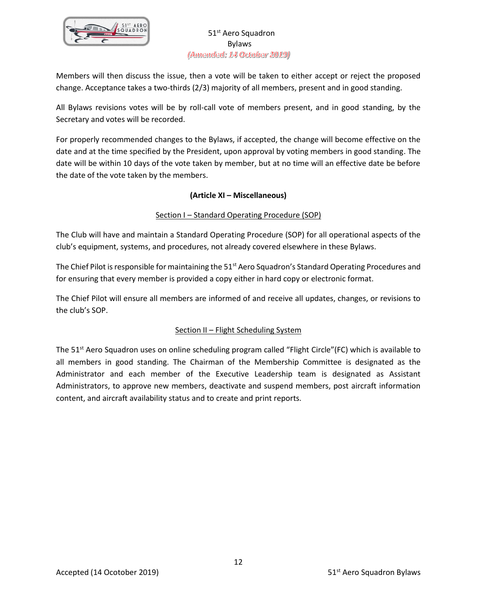

Members will then discuss the issue, then a vote will be taken to either accept or reject the proposed change. Acceptance takes a two-thirds (2/3) majority of all members, present and in good standing.

All Bylaws revisions votes will be by roll-call vote of members present, and in good standing, by the Secretary and votes will be recorded.

For properly recommended changes to the Bylaws, if accepted, the change will become effective on the date and at the time specified by the President, upon approval by voting members in good standing. The date will be within 10 days of the vote taken by member, but at no time will an effective date be before the date of the vote taken by the members.

# **(Article XI – Miscellaneous)**

### Section I – Standard Operating Procedure (SOP)

The Club will have and maintain a Standard Operating Procedure (SOP) for all operational aspects of the club's equipment, systems, and procedures, not already covered elsewhere in these Bylaws.

The Chief Pilot is responsible for maintaining the  $51<sup>st</sup>$  Aero Squadron's Standard Operating Procedures and for ensuring that every member is provided a copy either in hard copy or electronic format.

The Chief Pilot will ensure all members are informed of and receive all updates, changes, or revisions to the club's SOP.

### Section II – Flight Scheduling System

The 51<sup>st</sup> Aero Squadron uses on online scheduling program called "Flight Circle"(FC) which is available to all members in good standing. The Chairman of the Membership Committee is designated as the Administrator and each member of the Executive Leadership team is designated as Assistant Administrators, to approve new members, deactivate and suspend members, post aircraft information content, and aircraft availability status and to create and print reports.